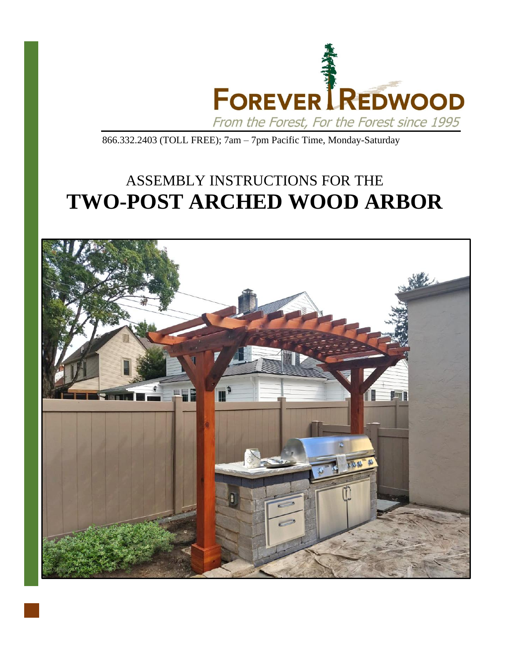

866.332.2403 (TOLL FREE); 7am – 7pm Pacific Time, Monday-Saturday

## ASSEMBLY INSTRUCTIONS FOR THE **TWO-POST ARCHED WOOD ARBOR**

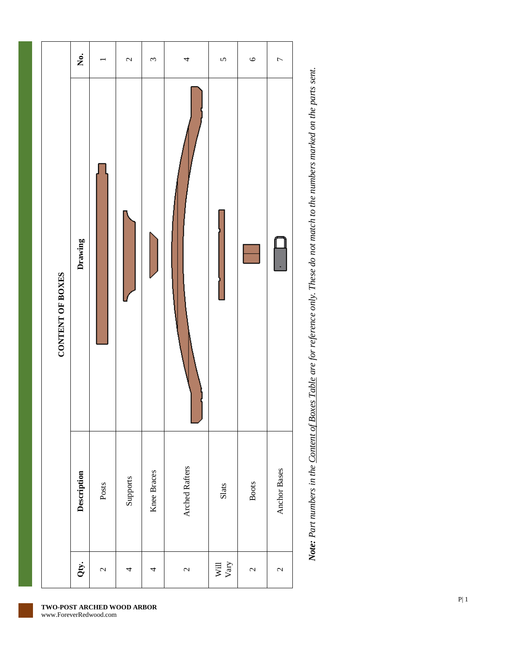

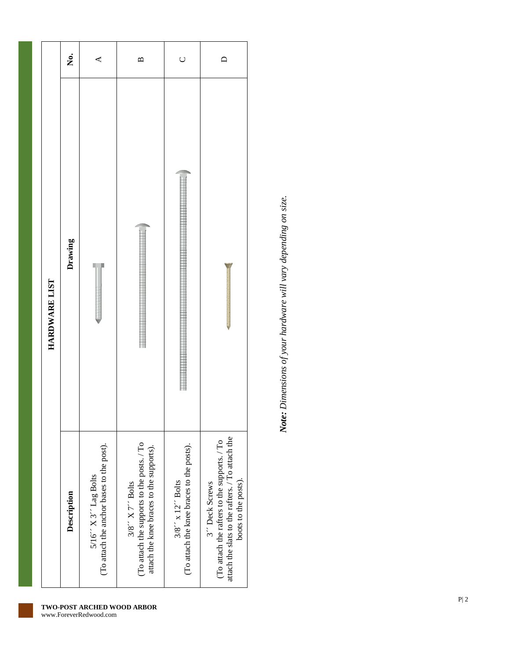|               | ż.          | ⋖                                                                       | $\mathbf{\Omega}$                                                                                            | $\cup$                                                                                      |                                                                                                                                            |
|---------------|-------------|-------------------------------------------------------------------------|--------------------------------------------------------------------------------------------------------------|---------------------------------------------------------------------------------------------|--------------------------------------------------------------------------------------------------------------------------------------------|
| HARDWARE LIST | Drawing     |                                                                         |                                                                                                              |                                                                                             |                                                                                                                                            |
|               | Description | (To attach the anchor bases to the post).<br>$5/16''$ X $3''$ Lag Bolts | (To attach the supports to the posts. / To<br>attach the knee braces to the supports).<br>$3/8$ " X 7" Bolts | (To attach the knee braces to the posts).<br>$3/8$ $\prime\prime$ x 12 $\prime\prime$ Bolts | attach the slats to the rafters. / To attach the<br>(To attach the rafters to the supports. / To<br>boots to the posts).<br>3" Deck Screws |

Note: Dimensions of your hardware will vary depending on size. *Note: Dimensions of your hardware will vary depending on size.*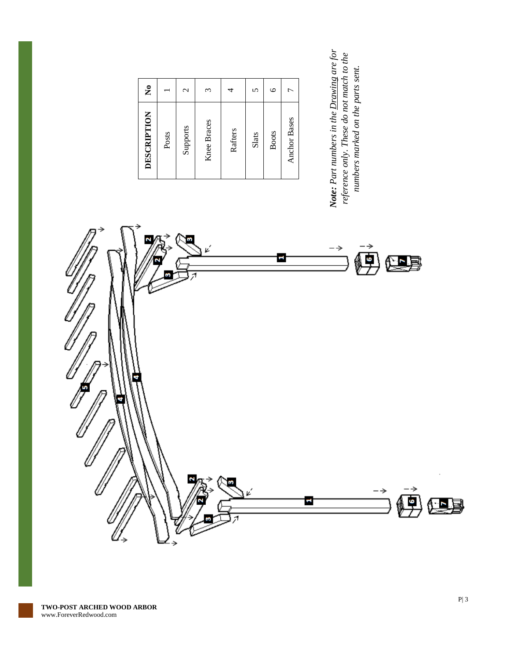| DESCRIPTION         | $\tilde{\mathbf{z}}$ |  |
|---------------------|----------------------|--|
| Posts               |                      |  |
| Supports            | $\mathbf{\sim}$      |  |
| <b>Knee Braces</b>  | ς                    |  |
| Rafters             |                      |  |
| Slats               | 5                    |  |
| <b>Boots</b>        | $\circ$              |  |
| <b>Anchor Bases</b> | ᠇                    |  |
|                     |                      |  |

Note: Part numbers in the Drawing are for<br>reference only. These do not match to the *Note: Part numbers in the Drawing are for reference only. These do not match to the*  numbers marked on the parts sent. *numbers marked on the parts sent.*

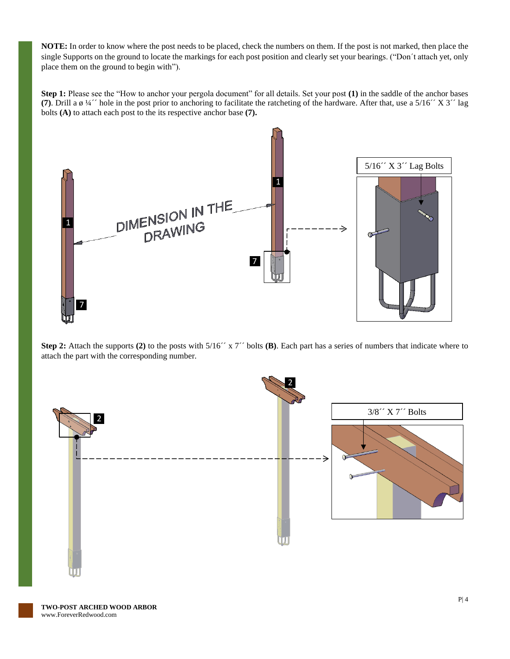**NOTE:** In order to know where the post needs to be placed, check the numbers on them. If the post is not marked, then place the single Supports on the ground to locate the markings for each post position and clearly set your bearings. ("Don´t attach yet, only place them on the ground to begin with").

**Step 1:** Please see the "How to anchor your pergola document" for all details. Set your post **(1)** in the saddle of the anchor bases **(7)**. Drill a ø ¼´´ hole in the post prior to anchoring to facilitate the ratcheting of the hardware. After that, use a 5/16´´ X 3´´ lag bolts **(A)** to attach each post to the its respective anchor base **(7).**



**Step 2:** Attach the supports **(2)** to the posts with 5/16´´ x 7´´ bolts **(B)**. Each part has a series of numbers that indicate where to attach the part with the corresponding number.

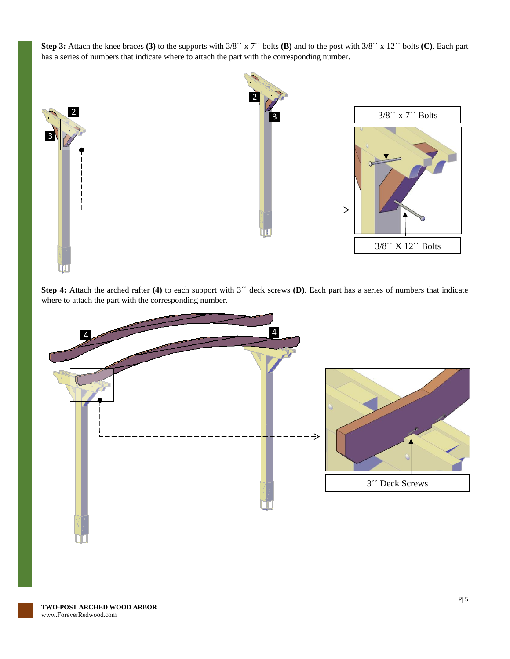**Step 3:** Attach the knee braces **(3)** to the supports with 3/8´´ x 7´´ bolts **(B)** and to the post with 3/8´´ x 12´´ bolts **(C)**. Each part has a series of numbers that indicate where to attach the part with the corresponding number.



**Step 4:** Attach the arched rafter **(4)** to each support with 3´´ deck screws **(D)**. Each part has a series of numbers that indicate where to attach the part with the corresponding number.

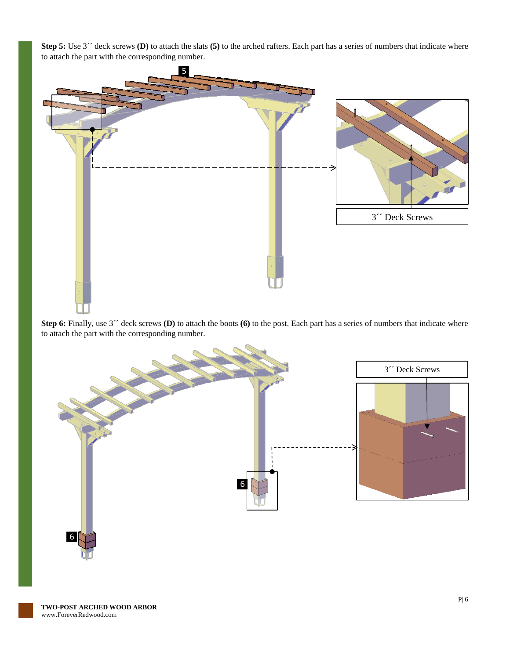



**Step 6:** Finally, use 3<sup> $\prime\prime$ </sup> deck screws **(D)** to attach the boots **(6)** to the post. Each part has a series of numbers that indicate where to attach the part with the corresponding number.